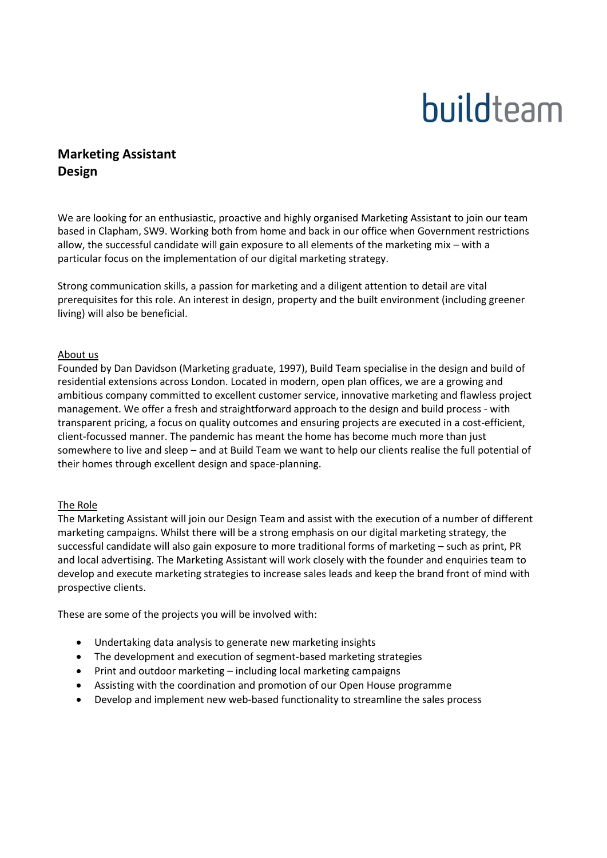# buildteam

# **Marketing Assistant Design**

We are looking for an enthusiastic, proactive and highly organised Marketing Assistant to join our team based in Clapham, SW9. Working both from home and back in our office when Government restrictions allow, the successful candidate will gain exposure to all elements of the marketing mix – with a particular focus on the implementation of our digital marketing strategy.

Strong communication skills, a passion for marketing and a diligent attention to detail are vital prerequisites for this role. An interest in design, property and the built environment (including greener living) will also be beneficial.

## About us

Founded by Dan Davidson (Marketing graduate, 1997), Build Team specialise in the design and build of residential extensions across London. Located in modern, open plan offices, we are a growing and ambitious company committed to excellent customer service, innovative marketing and flawless project management. We offer a fresh and straightforward approach to the design and build process - with transparent pricing, a focus on quality outcomes and ensuring projects are executed in a cost-efficient, client-focussed manner. The pandemic has meant the home has become much more than just somewhere to live and sleep – and at Build Team we want to help our clients realise the full potential of their homes through excellent design and space-planning.

#### The Role

The Marketing Assistant will join our Design Team and assist with the execution of a number of different marketing campaigns. Whilst there will be a strong emphasis on our digital marketing strategy, the successful candidate will also gain exposure to more traditional forms of marketing – such as print, PR and local advertising. The Marketing Assistant will work closely with the founder and enquiries team to develop and execute marketing strategies to increase sales leads and keep the brand front of mind with prospective clients.

These are some of the projects you will be involved with:

- Undertaking data analysis to generate new marketing insights
- The development and execution of segment-based marketing strategies
- Print and outdoor marketing including local marketing campaigns
- Assisting with the coordination and promotion of our Open House programme
- Develop and implement new web-based functionality to streamline the sales process